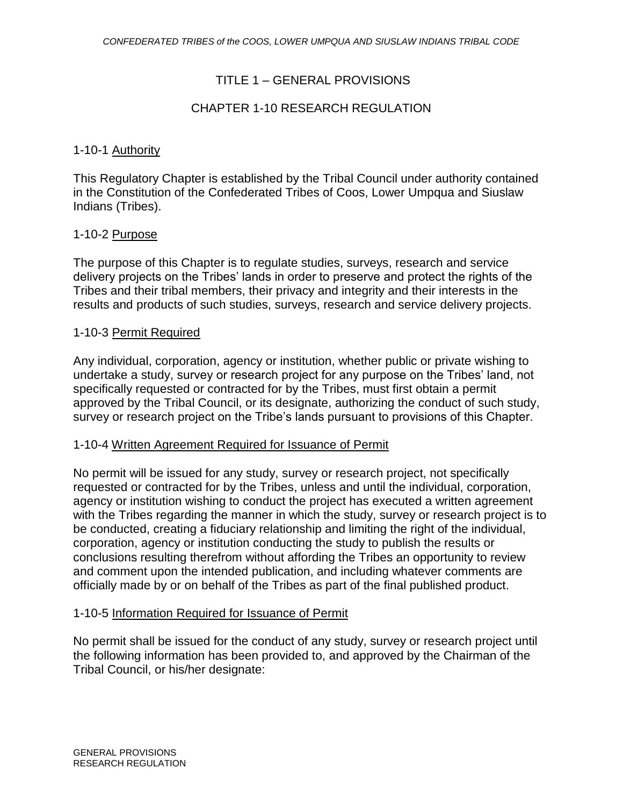## TITLE 1 – GENERAL PROVISIONS

### CHAPTER 1-10 RESEARCH REGULATION

#### 1-10-1 Authority

This Regulatory Chapter is established by the Tribal Council under authority contained in the Constitution of the Confederated Tribes of Coos, Lower Umpqua and Siuslaw Indians (Tribes).

#### 1-10-2 Purpose

The purpose of this Chapter is to regulate studies, surveys, research and service delivery projects on the Tribes' lands in order to preserve and protect the rights of the Tribes and their tribal members, their privacy and integrity and their interests in the results and products of such studies, surveys, research and service delivery projects.

#### 1-10-3 Permit Required

Any individual, corporation, agency or institution, whether public or private wishing to undertake a study, survey or research project for any purpose on the Tribes' land, not specifically requested or contracted for by the Tribes, must first obtain a permit approved by the Tribal Council, or its designate, authorizing the conduct of such study, survey or research project on the Tribe's lands pursuant to provisions of this Chapter.

#### 1-10-4 Written Agreement Required for Issuance of Permit

No permit will be issued for any study, survey or research project, not specifically requested or contracted for by the Tribes, unless and until the individual, corporation, agency or institution wishing to conduct the project has executed a written agreement with the Tribes regarding the manner in which the study, survey or research project is to be conducted, creating a fiduciary relationship and limiting the right of the individual, corporation, agency or institution conducting the study to publish the results or conclusions resulting therefrom without affording the Tribes an opportunity to review and comment upon the intended publication, and including whatever comments are officially made by or on behalf of the Tribes as part of the final published product.

#### 1-10-5 Information Required for Issuance of Permit

No permit shall be issued for the conduct of any study, survey or research project until the following information has been provided to, and approved by the Chairman of the Tribal Council, or his/her designate: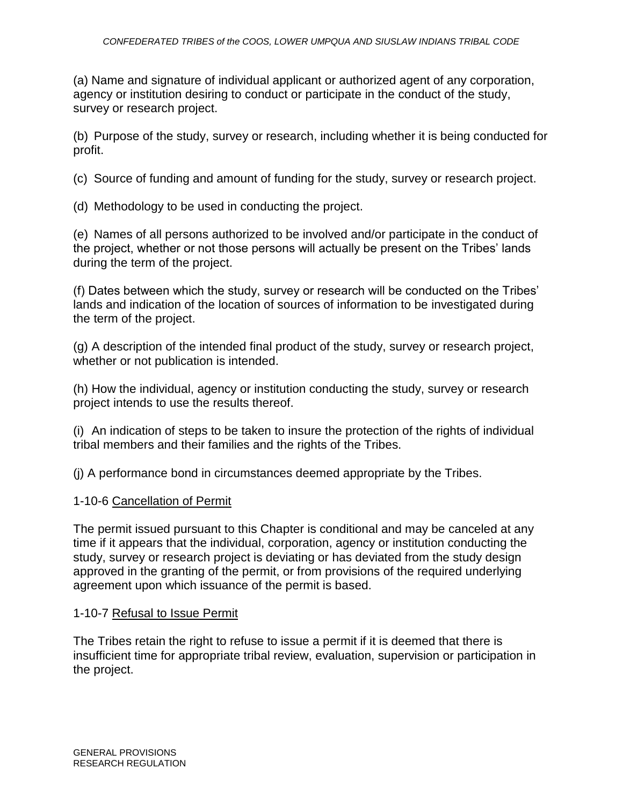(a) Name and signature of individual applicant or authorized agent of any corporation, agency or institution desiring to conduct or participate in the conduct of the study, survey or research project.

(b) Purpose of the study, survey or research, including whether it is being conducted for profit.

(c) Source of funding and amount of funding for the study, survey or research project.

(d) Methodology to be used in conducting the project.

(e) Names of all persons authorized to be involved and/or participate in the conduct of the project, whether or not those persons will actually be present on the Tribes' lands during the term of the project.

(f) Dates between which the study, survey or research will be conducted on the Tribes' lands and indication of the location of sources of information to be investigated during the term of the project.

(g) A description of the intended final product of the study, survey or research project, whether or not publication is intended.

(h) How the individual, agency or institution conducting the study, survey or research project intends to use the results thereof.

(i) An indication of steps to be taken to insure the protection of the rights of individual tribal members and their families and the rights of the Tribes.

(j) A performance bond in circumstances deemed appropriate by the Tribes.

# 1-10-6 Cancellation of Permit

The permit issued pursuant to this Chapter is conditional and may be canceled at any time if it appears that the individual, corporation, agency or institution conducting the study, survey or research project is deviating or has deviated from the study design approved in the granting of the permit, or from provisions of the required underlying agreement upon which issuance of the permit is based.

## 1-10-7 Refusal to Issue Permit

The Tribes retain the right to refuse to issue a permit if it is deemed that there is insufficient time for appropriate tribal review, evaluation, supervision or participation in the project.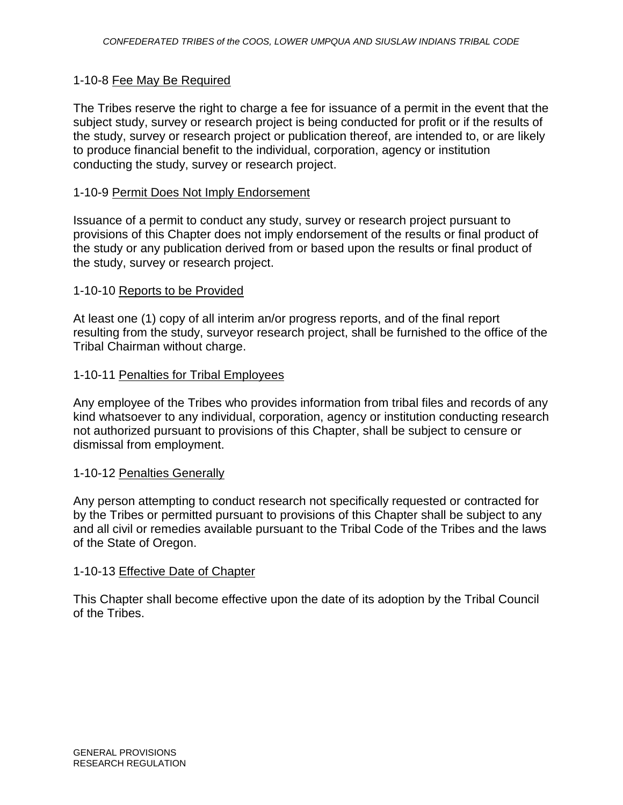#### 1-10-8 Fee May Be Required

The Tribes reserve the right to charge a fee for issuance of a permit in the event that the subject study, survey or research project is being conducted for profit or if the results of the study, survey or research project or publication thereof, are intended to, or are likely to produce financial benefit to the individual, corporation, agency or institution conducting the study, survey or research project.

#### 1-10-9 Permit Does Not Imply Endorsement

Issuance of a permit to conduct any study, survey or research project pursuant to provisions of this Chapter does not imply endorsement of the results or final product of the study or any publication derived from or based upon the results or final product of the study, survey or research project.

#### 1-10-10 Reports to be Provided

At least one (1) copy of all interim an/or progress reports, and of the final report resulting from the study, surveyor research project, shall be furnished to the office of the Tribal Chairman without charge.

#### 1-10-11 Penalties for Tribal Employees

Any employee of the Tribes who provides information from tribal files and records of any kind whatsoever to any individual, corporation, agency or institution conducting research not authorized pursuant to provisions of this Chapter, shall be subject to censure or dismissal from employment.

#### 1-10-12 Penalties Generally

Any person attempting to conduct research not specifically requested or contracted for by the Tribes or permitted pursuant to provisions of this Chapter shall be subject to any and all civil or remedies available pursuant to the Tribal Code of the Tribes and the laws of the State of Oregon.

#### 1-10-13 Effective Date of Chapter

This Chapter shall become effective upon the date of its adoption by the Tribal Council of the Tribes.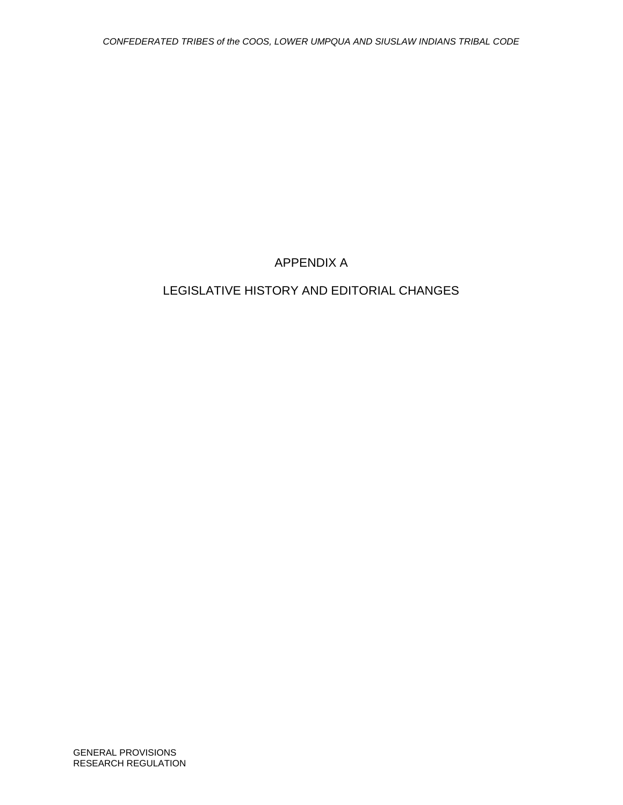# APPENDIX A

# LEGISLATIVE HISTORY AND EDITORIAL CHANGES